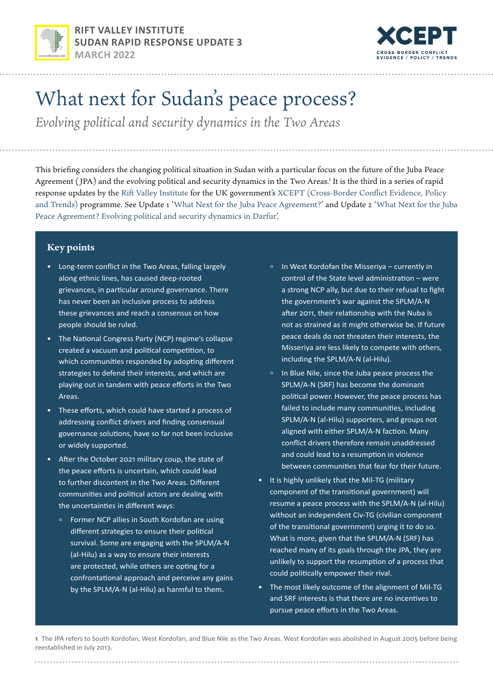



# What next for Sudan's peace process?

*Evolving political and security dynamics in the Two Areas*

This briefing considers the changing political situation in Sudan with a particular focus on the future of the Juba Peace Agreement (JPA) and the evolving political and security dynamics in the Two Areas.<sup>1</sup> It is the third in a series of rapid response updates by the [Rift Valley Institute](https://riftvalley.net/) for the UK government's [XCEPT \(Cross-Border Conflict Evidence, Policy](https://xcept-research.org/)  [and Trends\)](https://xcept-research.org/) programme. See Update 1 '[What Next for the Juba Peace Agreement?'](https://riftvalley.net/publication/what-next-juba-peace-agreement-after-coup-sudan) and Update 2 '[What Next for the Juba](https://riftvalley.net/publication/what-next-juba-peace-agreement-evolving-political-and-security-dynamics-darfur)  [Peace Agreement? Evolving political and security dynamics in Darfur'](https://riftvalley.net/publication/what-next-juba-peace-agreement-evolving-political-and-security-dynamics-darfur).

## **Key points**

- Long-term conflict in the Two Areas, falling largely along ethnic lines, has caused deep-rooted grievances, in particular around governance. There has never been an inclusive process to address these grievances and reach a consensus on how people should be ruled.
- The National Congress Party (NCP) regime's collapse created a vacuum and political competition, to which communities responded by adopting different strategies to defend their interests, and which are playing out in tandem with peace efforts in the Two Areas.
- These efforts, which could have started a process of addressing conflict drivers and finding consensual governance solutions, have so far not been inclusive or widely supported.
- After the October 2021 military coup, the state of the peace efforts is uncertain, which could lead to further discontent in the Two Areas. Different communities and political actors are dealing with the uncertainties in different ways:
	- Former NCP allies in South Kordofan are using different strategies to ensure their political survival. Some are engaging with the SPLM/A-N (al-Hilu) as a way to ensure their interests are protected, while others are opting for a confrontational approach and perceive any gains by the SPLM/A-N (al-Hilu) as harmful to them.
- In West Kordofan the Misseriya currently in control of the State level administration – were a strong NCP ally, but due to their refusal to fight the government's war against the SPLM/A-N after 2011, their relationship with the Nuba is not as strained as it might otherwise be. If future peace deals do not threaten their interests, the Misseriya are less likely to compete with others, including the SPLM/A-N (al-Hilu).
- In Blue Nile, since the Juba peace process the SPLM/A-N (SRF) has become the dominant political power. However, the peace process has failed to include many communities, including SPLM/A-N (al-Hilu) supporters, and groups not aligned with either SPLM/A-N faction. Many conflict drivers therefore remain unaddressed and could lead to a resumption in violence between communities that fear for their future.
- It is highly unlikely that the Mil-TG (military component of the transitional government) will resume a peace process with the SPLM/A-N (al-Hilu) without an independent Civ-TG (civilian component of the transitional government) urging it to do so. What is more, given that the SPLM/A-N (SRF) has reached many of its goals through the JPA, they are unlikely to support the resumption of a process that could politically empower their rival.
- The most likely outcome of the alignment of Mil-TG and SRF interests is that there are no incentives to pursue peace efforts in the Two Areas.

**1** The JPA refers to South Kordofan, West Kordofan, and Blue Nile as the Two Areas. West Kordofan was abolished in August 2005 before being reestablished in July 2013.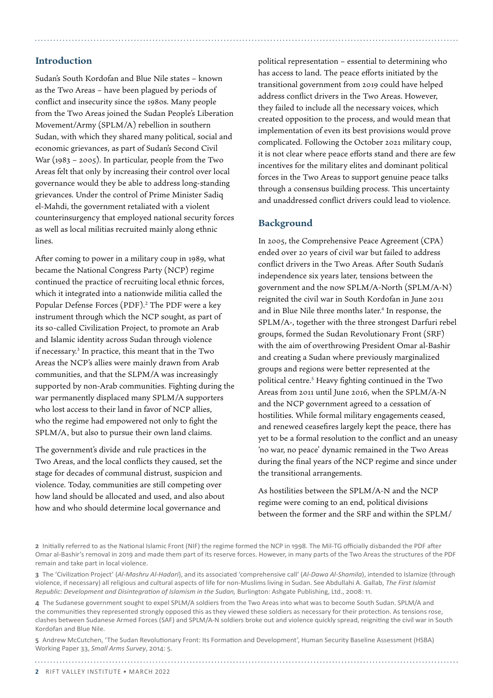### **Introduction**

Sudan's South Kordofan and Blue Nile states – known as the Two Areas – have been plagued by periods of conflict and insecurity since the 1980s. Many people from the Two Areas joined the Sudan People's Liberation Movement/Army (SPLM/A) rebellion in southern Sudan, with which they shared many political, social and economic grievances, as part of Sudan's Second Civil War (1983 – 2005). In particular, people from the Two Areas felt that only by increasing their control over local governance would they be able to address long-standing grievances. Under the control of Prime Minister Sadiq el-Mahdi, the government retaliated with a violent counterinsurgency that employed national security forces as well as local militias recruited mainly along ethnic lines.

After coming to power in a military coup in 1989, what became the National Congress Party (NCP) regime continued the practice of recruiting local ethnic forces, which it integrated into a nationwide militia called the Popular Defense Forces (PDF).<sup>2</sup> The PDF were a key instrument through which the NCP sought, as part of its so-called Civilization Project, to promote an Arab and Islamic identity across Sudan through violence if necessary.3 In practice, this meant that in the Two Areas the NCP's allies were mainly drawn from Arab communities, and that the SLPM/A was increasingly supported by non-Arab communities. Fighting during the war permanently displaced many SPLM/A supporters who lost access to their land in favor of NCP allies, who the regime had empowered not only to fight the SPLM/A, but also to pursue their own land claims.

The government's divide and rule practices in the Two Areas, and the local conflicts they caused, set the stage for decades of communal distrust, suspicion and violence. Today, communities are still competing over how land should be allocated and used, and also about how and who should determine local governance and

political representation – essential to determining who has access to land. The peace efforts initiated by the transitional government from 2019 could have helped address conflict drivers in the Two Areas. However, they failed to include all the necessary voices, which created opposition to the process, and would mean that implementation of even its best provisions would prove complicated. Following the October 2021 military coup, it is not clear where peace efforts stand and there are few incentives for the military elites and dominant political forces in the Two Areas to support genuine peace talks through a consensus building process. This uncertainty and unaddressed conflict drivers could lead to violence.

# **Background**

In 2005, the Comprehensive Peace Agreement (CPA) ended over 20 years of civil war but failed to address conflict drivers in the Two Areas. After South Sudan's independence six years later, tensions between the government and the now SPLM/A-North (SPLM/A-N) reignited the civil war in South Kordofan in June 2011 and in Blue Nile three months later.<sup>4</sup> In response, the SPLM/A-, together with the three strongest Darfuri rebel groups, formed the Sudan Revolutionary Front (SRF) with the aim of overthrowing President Omar al-Bashir and creating a Sudan where previously marginalized groups and regions were better represented at the political centre.<sup>5</sup> Heavy fighting continued in the Two Areas from 2011 until June 2016, when the SPLM/A-N and the NCP government agreed to a cessation of hostilities. While formal military engagements ceased, and renewed ceasefires largely kept the peace, there has yet to be a formal resolution to the conflict and an uneasy 'no war, no peace' dynamic remained in the Two Areas during the final years of the NCP regime and since under the transitional arrangements.

As hostilities between the SPLM/A-N and the NCP regime were coming to an end, political divisions between the former and the SRF and within the SPLM/

**4** The Sudanese government sought to expel SPLM/A soldiers from the Two Areas into what was to become South Sudan. SPLM/A and the communities they represented strongly opposed this as they viewed these soldiers as necessary for their protection. As tensions rose, clashes between Sudanese Armed Forces (SAF) and SPLM/A-N soldiers broke out and violence quickly spread, reigniting the civil war in South Kordofan and Blue Nile.

**5** Andrew McCutchen, 'The Sudan Revolutionary Front: Its Formation and Development', Human Security Baseline Assessment (HSBA) Working Paper 33, *Small Arms Survey*, 2014: 5.

**<sup>2</sup>** Initially referred to as the National Islamic Front (NIF) the regime formed the NCP in 1998. The Mil-TG officially disbanded the PDF after Omar al-Bashir's removal in 2019 and made them part of its reserve forces. However, in many parts of the Two Areas the structures of the PDF remain and take part in local violence.

**<sup>3</sup>** The 'Civilization Project' (*Al-Mashru Al-Hadari*), and its associated 'comprehensive call' (*Al-Dawa Al-Shamila*), intended to Islamize (through violence, if necessary) all religious and cultural aspects of life for non-Muslims living in Sudan. See Abdullahi A. Gallab, *The First Islamist Republic: Development and Disintegration of Islamism in the Sudan,* Burlington: Ashgate Publishing, Ltd., 2008: 11.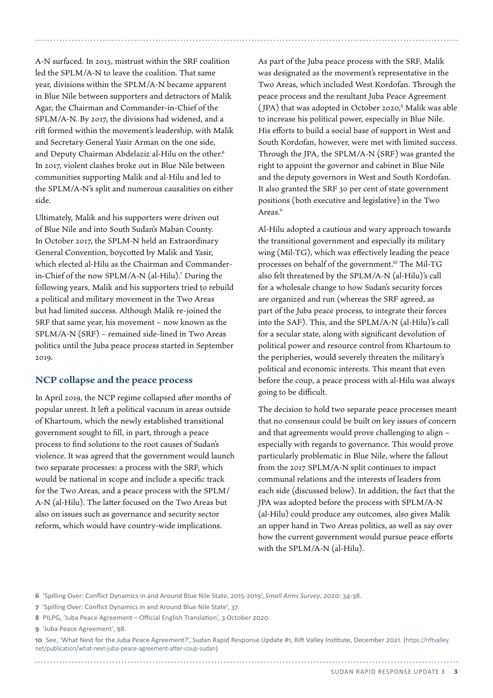A-N surfaced. In 2015, mistrust within the SRF coalition led the SPLM/A-N to leave the coalition. That same year, divisions within the SPLM/A-N became apparent in Blue Nile between supporters and detractors of Malik Agar, the Chairman and Commander-in-Chief of the SPLM/A-N. By 2017, the divisions had widened, and a rift formed within the movement's leadership, with Malik and Secretary General Yasir Arman on the one side, and Deputy Chairman Abdelaziz al-Hilu on the other.<sup>6</sup> In 2017, violent clashes broke out in Blue Nile between communities supporting Malik and al-Hilu and led to the SPLM/A-N's split and numerous causalities on either side.

Ultimately, Malik and his supporters were driven out of Blue Nile and into South Sudan's Maban County. In October 2017, the SPLM-N held an Extraordinary General Convention, boycotted by Malik and Yasir, which elected al-Hilu as the Chairman and Commanderin-Chief of the now SPLM/A-N (al-Hilu).7 During the following years, Malik and his supporters tried to rebuild a political and military movement in the Two Areas but had limited success. Although Malik re-joined the SRF that same year, his movement – now known as the SPLM/A-N (SRF) – remained side-lined in Two Areas politics until the Juba peace process started in September 2019.

#### **NCP collapse and the peace process**

In April 2019, the NCP regime collapsed after months of popular unrest. It left a political vacuum in areas outside of Khartoum, which the newly established transitional government sought to fill, in part, through a peace process to find solutions to the root causes of Sudan's violence. It was agreed that the government would launch two separate processes: a process with the SRF, which would be national in scope and include a specific track for the Two Areas, and a peace process with the SPLM/ A-N (al-Hilu). The latter focused on the Two Areas but also on issues such as governance and security sector reform, which would have country-wide implications.

As part of the Juba peace process with the SRF, Malik was designated as the movement's representative in the Two Areas, which included West Kordofan. Through the peace process and the resultant Juba Peace Agreement (JPA) that was adopted in October 2020,<sup>8</sup> Malik was able to increase his political power, especially in Blue Nile. His efforts to build a social base of support in West and South Kordofan, however, were met with limited success. Through the JPA, the SPLM/A-N (SRF) was granted the right to appoint the governor and cabinet in Blue Nile and the deputy governors in West and South Kordofan. It also granted the SRF 30 per cent of state government positions (both executive and legislative) in the Two Areas.<sup>9</sup>

Al-Hilu adopted a cautious and wary approach towards the transitional government and especially its military wing (Mil-TG), which was effectively leading the peace processes on behalf of the government.10 The Mil-TG also felt threatened by the SPLM/A-N (al-Hilu)'s call for a wholesale change to how Sudan's security forces are organized and run (whereas the SRF agreed, as part of the Juba peace process, to integrate their forces into the SAF). This, and the SPLM/A-N (al-Hilu)'s call for a secular state, along with significant devolution of political power and resource control from Khartoum to the peripheries, would severely threaten the military's political and economic interests. This meant that even before the coup, a peace process with al-Hilu was always going to be difficult.

The decision to hold two separate peace processes meant that no consensus could be built on key issues of concern and that agreements would prove challenging to align – especially with regards to governance. This would prove particularly problematic in Blue Nile, where the fallout from the 2017 SPLM/A-N split continues to impact communal relations and the interests of leaders from each side (discussed below). In addition, the fact that the JPA was adopted before the process with SPLM/A-N (al-Hilu) could produce any outcomes, also gives Malik an upper hand in Two Areas politics, as well as say over how the current government would pursue peace efforts with the SPLM/A-N (al-Hilu).

**6** 'Spilling Over: Conflict Dynamics in and Around Blue Nile State, 2015-2019', *Small Arms Survey*, 2020: 34-38.

**9** 'Juba Peace Agreement', 98.

**10** See, 'What Next for the Juba Peace Agreement?', Sudan Rapid Response Update #1, Rift Valley Institute, December 2021. ([https://riftvalley.](https://riftvalley.net/publication/what-next-juba-peace-agreement-after-coup-sudan)) [net/publication/what-next-juba-peace-agreement-after-coup-sudan](https://riftvalley.net/publication/what-next-juba-peace-agreement-after-coup-sudan)))

**<sup>7</sup>** 'Spilling Over: Conflict Dynamics in and Around Blue Nile State', 37.

**<sup>8</sup>** PILPG, 'Juba Peace Agreement – Official English Translation', 3 October 2020.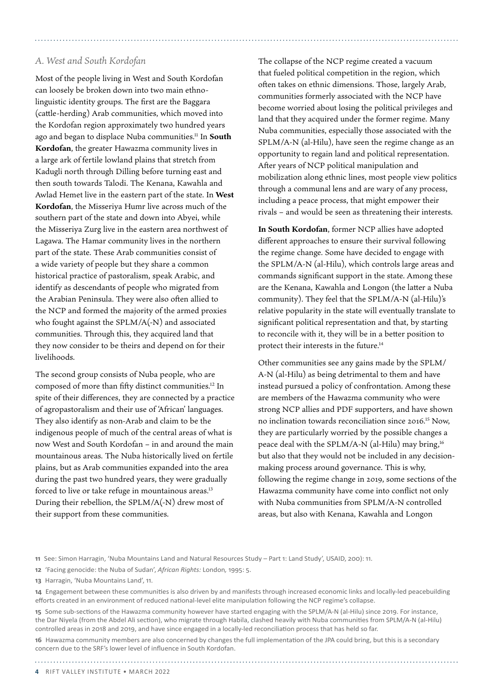#### *A. West and South Kordofan*

Most of the people living in West and South Kordofan can loosely be broken down into two main ethnolinguistic identity groups. The first are the Baggara (cattle-herding) Arab communities, which moved into the Kordofan region approximately two hundred years ago and began to displace Nuba communities.11 In **South Kordofan**, the greater Hawazma community lives in a large ark of fertile lowland plains that stretch from Kadugli north through Dilling before turning east and then south towards Talodi. The Kenana, Kawahla and Awlad Hemet live in the eastern part of the state. In **West Kordofan**, the Misseriya Humr live across much of the southern part of the state and down into Abyei, while the Misseriya Zurg live in the eastern area northwest of Lagawa. The Hamar community lives in the northern part of the state. These Arab communities consist of a wide variety of people but they share a common historical practice of pastoralism, speak Arabic, and identify as descendants of people who migrated from the Arabian Peninsula. They were also often allied to the NCP and formed the majority of the armed proxies who fought against the SPLM/A(-N) and associated communities. Through this, they acquired land that they now consider to be theirs and depend on for their livelihoods.

The second group consists of Nuba people, who are composed of more than fifty distinct communities.12 In spite of their differences, they are connected by a practice of agropastoralism and their use of 'African' languages. They also identify as non-Arab and claim to be the indigenous people of much of the central areas of what is now West and South Kordofan – in and around the main mountainous areas. The Nuba historically lived on fertile plains, but as Arab communities expanded into the area during the past two hundred years, they were gradually forced to live or take refuge in mountainous areas.<sup>13</sup> During their rebellion, the SPLM/A(-N) drew most of their support from these communities.

The collapse of the NCP regime created a vacuum that fueled political competition in the region, which often takes on ethnic dimensions. Those, largely Arab, communities formerly associated with the NCP have become worried about losing the political privileges and land that they acquired under the former regime. Many Nuba communities, especially those associated with the SPLM/A-N (al-Hilu), have seen the regime change as an opportunity to regain land and political representation. After years of NCP political manipulation and mobilization along ethnic lines, most people view politics through a communal lens and are wary of any process, including a peace process, that might empower their rivals – and would be seen as threatening their interests.

**In South Kordofan**, former NCP allies have adopted different approaches to ensure their survival following the regime change. Some have decided to engage with the SPLM/A-N (al-Hilu), which controls large areas and commands significant support in the state. Among these are the Kenana, Kawahla and Longon (the latter a Nuba community). They feel that the SPLM/A-N (al-Hilu)'s relative popularity in the state will eventually translate to significant political representation and that, by starting to reconcile with it, they will be in a better position to protect their interests in the future.14

Other communities see any gains made by the SPLM/ A-N (al-Hilu) as being detrimental to them and have instead pursued a policy of confrontation. Among these are members of the Hawazma community who were strong NCP allies and PDF supporters, and have shown no inclination towards reconciliation since 2016.15 Now, they are particularly worried by the possible changes a peace deal with the SPLM/A-N (al-Hilu) may bring,<sup>16</sup> but also that they would not be included in any decisionmaking process around governance. This is why, following the regime change in 2019, some sections of the Hawazma community have come into conflict not only with Nuba communities from SPLM/A-N controlled areas, but also with Kenana, Kawahla and Longon

**13** Harragin, 'Nuba Mountains Land', 11.

**<sup>11</sup>** See: Simon Harragin, 'Nuba Mountains Land and Natural Resources Study – Part 1: Land Study', USAID, 200): 11.

**<sup>12</sup>** 'Facing genocide: the Nuba of Sudan', *African Rights:* London*,* 1995: 5.

**<sup>14</sup>** Engagement between these communities is also driven by and manifests through increased economic links and locally-led peacebuilding efforts created in an environment of reduced national-level elite manipulation following the NCP regime's collapse.

**<sup>15</sup>** Some sub-sections of the Hawazma community however have started engaging with the SPLM/A-N (al-Hilu) since 2019. For instance, the Dar Niyela (from the Abdel Ali section), who migrate through Habila, clashed heavily with Nuba communities from SPLM/A-N (al-Hilu) controlled areas in 2018 and 2019, and have since engaged in a locally-led reconciliation process that has held so far.

**<sup>16</sup>** Hawazma community members are also concerned by changes the full implementation of the JPA could bring, but this is a secondary concern due to the SRF's lower level of influence in South Kordofan.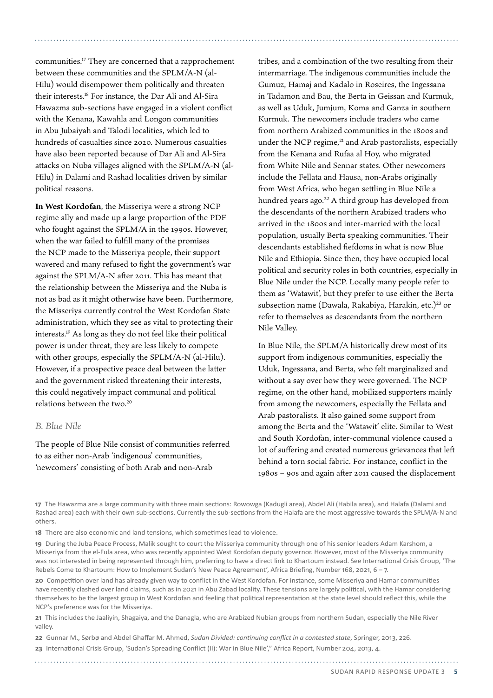communities.17 They are concerned that a rapprochement between these communities and the SPLM/A-N (al-Hilu) would disempower them politically and threaten their interests.18 For instance, the Dar Ali and Al-Sira Hawazma sub-sections have engaged in a violent conflict with the Kenana, Kawahla and Longon communities in Abu Jubaiyah and Talodi localities, which led to hundreds of casualties since 2020. Numerous casualties have also been reported because of Dar Ali and Al-Sira attacks on Nuba villages aligned with the SPLM/A-N (al-Hilu) in Dalami and Rashad localities driven by similar political reasons.

**In West Kordofan**, the Misseriya were a strong NCP regime ally and made up a large proportion of the PDF who fought against the SPLM/A in the 1990s. However, when the war failed to fulfill many of the promises the NCP made to the Misseriya people, their support wavered and many refused to fight the government's war against the SPLM/A-N after 2011. This has meant that the relationship between the Misseriya and the Nuba is not as bad as it might otherwise have been. Furthermore, the Misseriya currently control the West Kordofan State administration, which they see as vital to protecting their interests.19 As long as they do not feel like their political power is under threat, they are less likely to compete with other groups, especially the SPLM/A-N (al-Hilu). However, if a prospective peace deal between the latter and the government risked threatening their interests, this could negatively impact communal and political relations between the two.20

### *B. Blue Nile*

The people of Blue Nile consist of communities referred to as either non-Arab 'indigenous' communities, 'newcomers' consisting of both Arab and non-Arab

tribes, and a combination of the two resulting from their intermarriage. The indigenous communities include the Gumuz, Hamaj and Kadalo in Roseires, the Ingessana in Tadamon and Bau, the Berta in Geissan and Kurmuk, as well as Uduk, Jumjum, Koma and Ganza in southern Kurmuk. The newcomers include traders who came from northern Arabized communities in the 1800s and under the NCP regime,<sup>21</sup> and Arab pastoralists, especially from the Kenana and Rufaa al Hoy, who migrated from White Nile and Sennar states. Other newcomers include the Fellata and Hausa, non-Arabs originally from West Africa, who began settling in Blue Nile a hundred years ago.<sup>22</sup> A third group has developed from the descendants of the northern Arabized traders who arrived in the 1800s and inter-married with the local population, usually Berta speaking communities. Their descendants established fiefdoms in what is now Blue Nile and Ethiopia. Since then, they have occupied local political and security roles in both countries, especially in Blue Nile under the NCP. Locally many people refer to them as 'Watawit', but they prefer to use either the Berta subsection name (Dawala, Rakabiya, Harakin, etc.)<sup>23</sup> or refer to themselves as descendants from the northern Nile Valley.

In Blue Nile, the SPLM/A historically drew most of its support from indigenous communities, especially the Uduk, Ingessana, and Berta, who felt marginalized and without a say over how they were governed. The NCP regime, on the other hand, mobilized supporters mainly from among the newcomers, especially the Fellata and Arab pastoralists. It also gained some support from among the Berta and the 'Watawit' elite. Similar to West and South Kordofan, inter-communal violence caused a lot of suffering and created numerous grievances that left behind a torn social fabric. For instance, conflict in the 1980s – 90s and again after 2011 caused the displacement

**17** The Hawazma are a large community with three main sections: Rowowga (Kadugli area), Abdel Ali (Habila area), and Halafa (Dalami and Rashad area) each with their own sub-sections. Currently the sub-sections from the Halafa are the most aggressive towards the SPLM/A-N and others.

**18** There are also economic and land tensions, which sometimes lead to violence.

**19** During the Juba Peace Process, Malik sought to court the Misseriya community through one of his senior leaders Adam Karshom, a Misseriya from the el-Fula area, who was recently appointed West Kordofan deputy governor. However, most of the Misseriya community was not interested in being represented through him, preferring to have a direct link to Khartoum instead. See International Crisis Group, 'The Rebels Come to Khartoum: How to Implement Sudan's New Peace Agreement', Africa Briefing, Number 168, 2021, 6 – 7.

**20** Competition over land has already given way to conflict in the West Kordofan. For instance, some Misseriya and Hamar communities have recently clashed over land claims, such as in 2021 in Abu Zabad locality. These tensions are largely political, with the Hamar considering themselves to be the largest group in West Kordofan and feeling that political representation at the state level should reflect this, while the NCP's preference was for the Misseriya.

**21** This includes the Jaaliyin, Shagaiya, and the Danagla, who are Arabized Nubian groups from northern Sudan, especially the Nile River valley.

**22** Gunnar M., Sørbø and Abdel Ghaffar M. Ahmed, *Sudan Divided: continuing conflict in a contested state*, Springer, 2013, 226.

**23** International Crisis Group, 'Sudan's Spreading Conflict (II): War in Blue Nile'," Africa Report, Number 204, 2013, 4.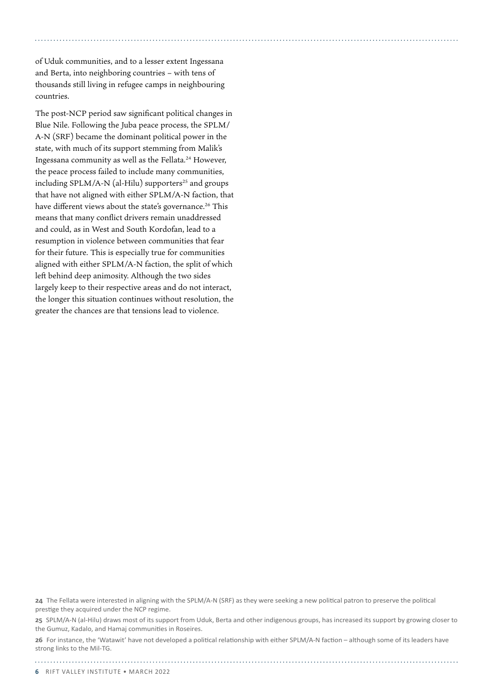of Uduk communities, and to a lesser extent Ingessana and Berta, into neighboring countries – with tens of thousands still living in refugee camps in neighbouring countries.

The post-NCP period saw significant political changes in Blue Nile. Following the Juba peace process, the SPLM/ A-N (SRF) became the dominant political power in the state, with much of its support stemming from Malik's Ingessana community as well as the Fellata.24 However, the peace process failed to include many communities, including SPLM/A-N (al-Hilu) supporters<sup>25</sup> and groups that have not aligned with either SPLM/A-N faction, that have different views about the state's governance.<sup>26</sup> This means that many conflict drivers remain unaddressed and could, as in West and South Kordofan, lead to a resumption in violence between communities that fear for their future. This is especially true for communities aligned with either SPLM/A-N faction, the split of which left behind deep animosity. Although the two sides largely keep to their respective areas and do not interact, the longer this situation continues without resolution, the greater the chances are that tensions lead to violence.

**24** The Fellata were interested in aligning with the SPLM/A-N (SRF) as they were seeking a new political patron to preserve the political prestige they acquired under the NCP regime.

**25** SPLM/A-N (al-Hilu) draws most of its support from Uduk, Berta and other indigenous groups, has increased its support by growing closer to the Gumuz, Kadalo, and Hamaj communities in Roseires.

**26** For instance, the 'Watawit' have not developed a political relationship with either SPLM/A-N faction – although some of its leaders have strong links to the Mil-TG.

**6** RIFT VALLEY INSTITUTE • March 2022